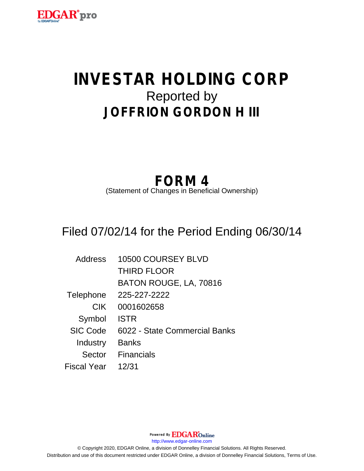

# **INVESTAR HOLDING CORP** Reported by **JOFFRION GORDON H III**

## **FORM 4**

(Statement of Changes in Beneficial Ownership)

## Filed 07/02/14 for the Period Ending 06/30/14

| <b>Address</b>  | 10500 COURSEY BLVD            |
|-----------------|-------------------------------|
|                 | <b>THIRD FLOOR</b>            |
|                 | BATON ROUGE, LA, 70816        |
| Telephone       | 225-227-2222                  |
| <b>CIK</b>      | 0001602658                    |
| Symbol          | <b>ISTR</b>                   |
| <b>SIC Code</b> | 6022 - State Commercial Banks |
| Industry        | <b>Banks</b>                  |
| Sector          | <b>Financials</b>             |
| Fiscal Year     | 12/31                         |

Powered By **EDGAR**Online http://www.edgar-online.com © Copyright 2020, EDGAR Online, a division of Donnelley Financial Solutions. All Rights Reserved. Distribution and use of this document restricted under EDGAR Online, a division of Donnelley Financial Solutions, Terms of Use.